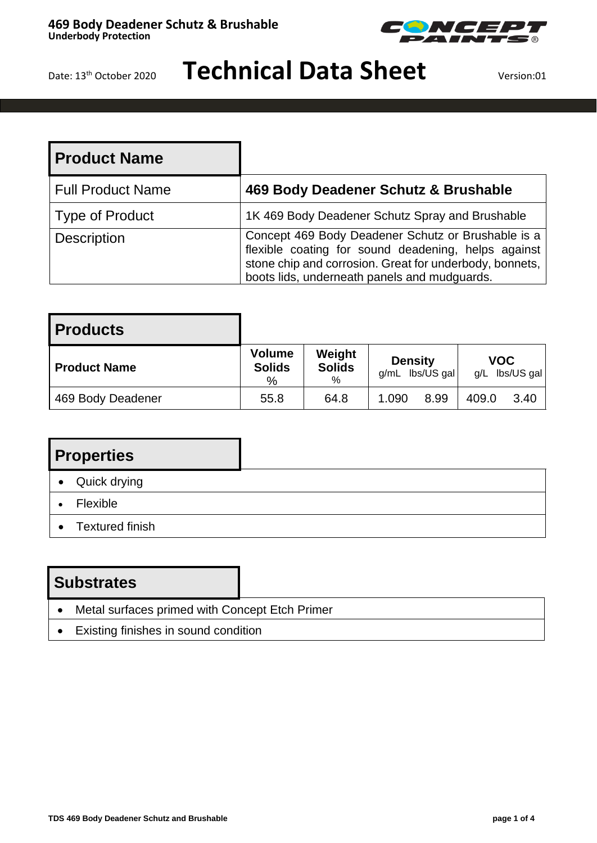

### **Technical Data Sheet** Version:01

| <b>Product Name</b>      |                                                                                                                                                                                                                      |
|--------------------------|----------------------------------------------------------------------------------------------------------------------------------------------------------------------------------------------------------------------|
| <b>Full Product Name</b> | 469 Body Deadener Schutz & Brushable                                                                                                                                                                                 |
| Type of Product          | 1K 469 Body Deadener Schutz Spray and Brushable                                                                                                                                                                      |
| <b>Description</b>       | Concept 469 Body Deadener Schutz or Brushable is a<br>flexible coating for sound deadening, helps against<br>stone chip and corrosion. Great for underbody, bonnets,<br>boots lids, underneath panels and mudguards. |

| <b>Products</b>     |                                     |                                 |                |                 |       |                              |
|---------------------|-------------------------------------|---------------------------------|----------------|-----------------|-------|------------------------------|
| <b>Product Name</b> | <b>Volume</b><br><b>Solids</b><br>% | Weight<br><b>Solids</b><br>$\%$ | <b>Density</b> | g/mL lbs/US gal |       | <b>VOC</b><br>g/L lbs/US gal |
| 469 Body Deadener   | 55.8                                | 64.8                            | 1.090          | 8.99            | 409.0 | 3.40                         |

### **Properties**

- Quick drying
- Flexible
- Textured finish

#### **Substrates**

- Metal surfaces primed with Concept Etch Primer
- Existing finishes in sound condition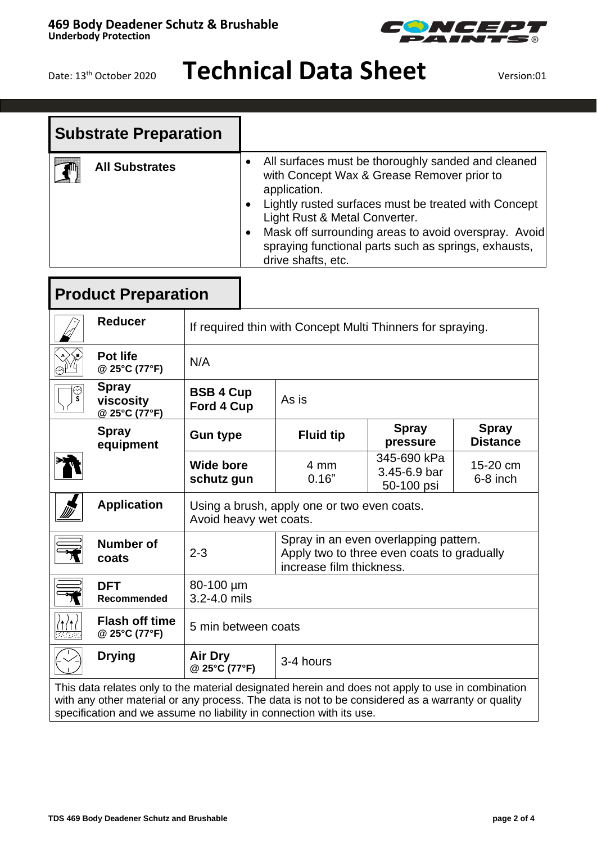# **Technical Data Sheet** Version:01

.<br>(R)

**Telephone** 

|                          | <b>Substrate Preparation</b>                                                                                                                                                                           |                                                                       |                                                                                                                                                                                                                                                                                                                                                 |                          |                                                                                     |                                 |  |
|--------------------------|--------------------------------------------------------------------------------------------------------------------------------------------------------------------------------------------------------|-----------------------------------------------------------------------|-------------------------------------------------------------------------------------------------------------------------------------------------------------------------------------------------------------------------------------------------------------------------------------------------------------------------------------------------|--------------------------|-------------------------------------------------------------------------------------|---------------------------------|--|
| <b>All Substrates</b>    |                                                                                                                                                                                                        | $\bullet$<br>$\bullet$                                                | All surfaces must be thoroughly sanded and cleaned<br>with Concept Wax & Grease Remover prior to<br>application.<br>Lightly rusted surfaces must be treated with Concept<br>Light Rust & Metal Converter.<br>Mask off surrounding areas to avoid overspray. Avoid<br>spraying functional parts such as springs, exhausts,<br>drive shafts, etc. |                          |                                                                                     |                                 |  |
|                          | <b>Product Preparation</b>                                                                                                                                                                             |                                                                       |                                                                                                                                                                                                                                                                                                                                                 |                          |                                                                                     |                                 |  |
|                          | <b>Reducer</b>                                                                                                                                                                                         | If required thin with Concept Multi Thinners for spraying.            |                                                                                                                                                                                                                                                                                                                                                 |                          |                                                                                     |                                 |  |
|                          | <b>Pot life</b><br>@ 25°C (77°F)                                                                                                                                                                       | N/A                                                                   |                                                                                                                                                                                                                                                                                                                                                 |                          |                                                                                     |                                 |  |
| ్య                       | <b>Spray</b><br>viscosity<br>@ 25°C (77°F)                                                                                                                                                             | <b>BSB 4 Cup</b><br>As is<br>Ford 4 Cup                               |                                                                                                                                                                                                                                                                                                                                                 |                          |                                                                                     |                                 |  |
|                          | <b>Spray</b><br>equipment                                                                                                                                                                              | <b>Gun type</b>                                                       |                                                                                                                                                                                                                                                                                                                                                 | <b>Fluid tip</b>         | <b>Spray</b><br>pressure                                                            | <b>Spray</b><br><b>Distance</b> |  |
|                          |                                                                                                                                                                                                        | <b>Wide bore</b><br>schutz gun                                        |                                                                                                                                                                                                                                                                                                                                                 | 4 mm<br>0.16"            | 345-690 kPa<br>3.45-6.9 bar<br>50-100 psi                                           | 15-20 cm<br>6-8 inch            |  |
|                          | <b>Application</b>                                                                                                                                                                                     | Using a brush, apply one or two even coats.<br>Avoid heavy wet coats. |                                                                                                                                                                                                                                                                                                                                                 |                          |                                                                                     |                                 |  |
| $\overline{\phantom{a}}$ | <b>Number of</b><br>coats                                                                                                                                                                              | $2 - 3$                                                               |                                                                                                                                                                                                                                                                                                                                                 | increase film thickness. | Spray in an even overlapping pattern.<br>Apply two to three even coats to gradually |                                 |  |
|                          | <b>DFT</b><br>Recommended                                                                                                                                                                              | 80-100 µm<br>3.2-4.0 mils                                             |                                                                                                                                                                                                                                                                                                                                                 |                          |                                                                                     |                                 |  |
|                          | <b>Flash off time</b><br>@ 25°C (77°F)                                                                                                                                                                 | 5 min between coats                                                   |                                                                                                                                                                                                                                                                                                                                                 |                          |                                                                                     |                                 |  |
|                          | <b>Drying</b>                                                                                                                                                                                          | <b>Air Dry</b><br>@ 25°C (77°F)                                       | 3-4 hours                                                                                                                                                                                                                                                                                                                                       |                          |                                                                                     |                                 |  |
|                          | This data relates only to the material designated herein and does not apply to use in combination<br>with any other material or any process. The data is not to be considered as a warranty or quality |                                                                       |                                                                                                                                                                                                                                                                                                                                                 |                          |                                                                                     |                                 |  |

specification and we assume no liability in connection with its use.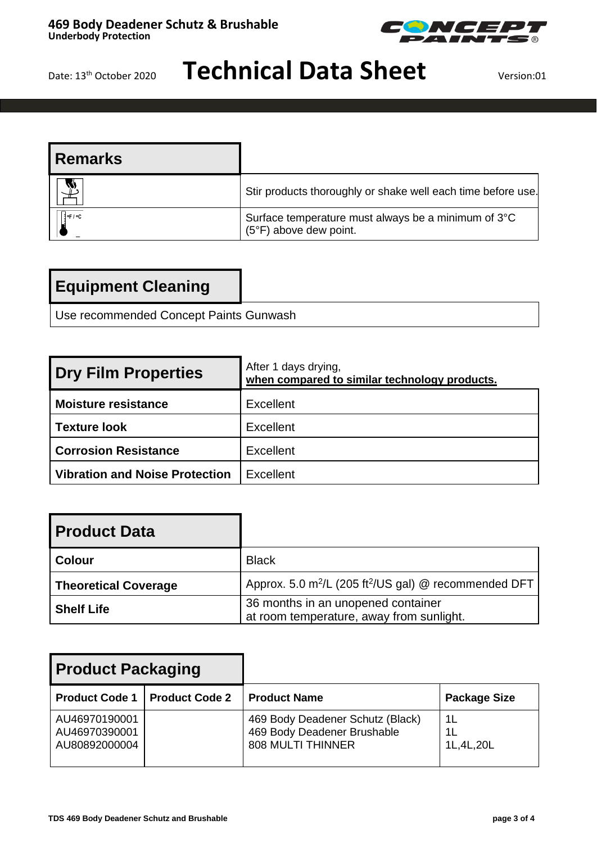

# **Technical Data Sheet** Version:01

| l Remarks           |                                                                                        |
|---------------------|----------------------------------------------------------------------------------------|
|                     | Stir products thoroughly or shake well each time before use.                           |
| $\frac{3}{4}$ °F/°C | Surface temperature must always be a minimum of 3°C<br>$(5^{\circ}F)$ above dew point. |

Use recommended Concept Paints Gunwash

| <b>Dry Film Properties</b>     | After 1 days drying,<br>when compared to similar technology products. |
|--------------------------------|-----------------------------------------------------------------------|
| <b>Moisture resistance</b>     | Excellent                                                             |
| l Texture look                 | Excellent                                                             |
| <b>Corrosion Resistance</b>    | Excellent                                                             |
| Vibration and Noise Protection | Excellent                                                             |

| <b>Product Data</b>         |                                                                                |
|-----------------------------|--------------------------------------------------------------------------------|
| <b>Colour</b>               | <b>Black</b>                                                                   |
| <b>Theoretical Coverage</b> | Approx. 5.0 m <sup>2</sup> /L (205 ft <sup>2</sup> /US gal) @ recommended DFT  |
| <b>Shelf Life</b>           | 36 months in an unopened container<br>at room temperature, away from sunlight. |

| <b>Product Packaging</b>                        |                       |                                                                                             |                           |
|-------------------------------------------------|-----------------------|---------------------------------------------------------------------------------------------|---------------------------|
| <b>Product Code 1</b>                           | <b>Product Code 2</b> | <b>Product Name</b>                                                                         | <b>Package Size</b>       |
| AU46970190001<br>AU46970390001<br>AU80892000004 |                       | 469 Body Deadener Schutz (Black)<br>469 Body Deadener Brushable<br><b>808 MULTI THINNER</b> | -1 L<br>1L<br>1L, 4L, 20L |